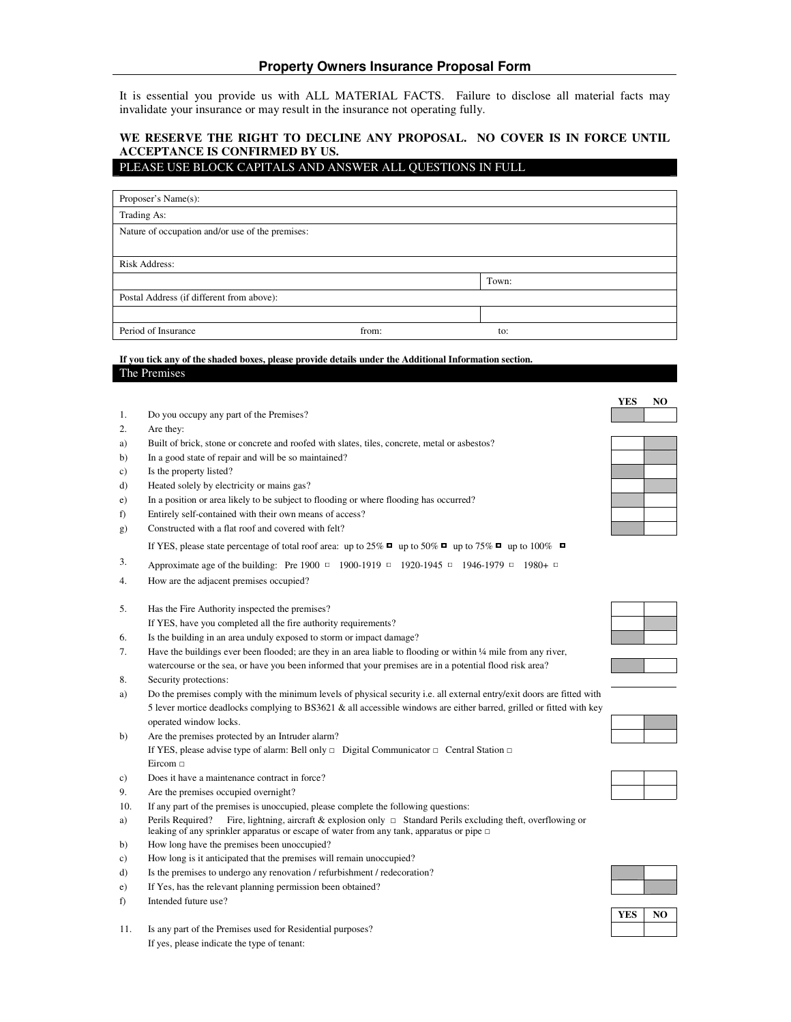It is essential you provide us with ALL MATERIAL FACTS. Failure to disclose all material facts may invalidate your insurance or may result in the insurance not operating fully.

## **WE RESERVE THE RIGHT TO DECLINE ANY PROPOSAL. NO COVER IS IN FORCE UNTIL ACCEPTANCE IS CONFIRMED BY US.**

### PLEASE USE BLOCK CAPITALS AND ANSWER ALL QUESTIONS IN FULL

| Proposer's Name(s):                              |       |       |  |  |
|--------------------------------------------------|-------|-------|--|--|
| Trading As:                                      |       |       |  |  |
| Nature of occupation and/or use of the premises: |       |       |  |  |
|                                                  |       |       |  |  |
| <b>Risk Address:</b>                             |       |       |  |  |
|                                                  |       | Town: |  |  |
| Postal Address (if different from above):        |       |       |  |  |
|                                                  |       |       |  |  |
| Period of Insurance                              | from: | to:   |  |  |

### **If you tick any of the shaded boxes, please provide details under the Additional Information section.** The Premises

- 1. Do you occupy any part of the Premises?
- 2. Are they:
- a) Built of brick, stone or concrete and roofed with slates, tiles, concrete, metal or asbestos?
- b) In a good state of repair and will be so maintained?
- c) Is the property listed?
- d) Heated solely by electricity or mains gas?
- e) In a position or area likely to be subject to flooding or where flooding has occurred?
- f) Entirely self-contained with their own means of access?
- g) Constructed with a flat roof and covered with felt?

If YES, please state percentage of total roof area: up to 25%  $\Box$  up to 50%  $\Box$  up to 75%  $\Box$  up to 100%  $\Box$ 

- 3. Approximate age of the building: Pre 1900  $\Box$  1900-1919  $\Box$  1920-1945  $\Box$  1946-1979  $\Box$  1980+  $\Box$
- 4. How are the adjacent premises occupied?
- 5. Has the Fire Authority inspected the premises?

If YES, have you completed all the fire authority requirements?

6. Is the building in an area unduly exposed to storm or impact damage?

| Have the buildings ever been flooded; are they in an area liable to flooding or within $\frac{1}{4}$ mile from any river, |
|---------------------------------------------------------------------------------------------------------------------------|
| watercourse or the sea, or have you been informed that your premises are in a potential flood risk area?                  |

- 8. Security protections:
- a) Do the premises comply with the minimum levels of physical security i.e. all external entry/exit doors are fitted with 5 lever mortice deadlocks complying to BS3621 & all accessible windows are either barred, grilled or fitted with key operated window locks.
- b) Are the premises protected by an Intruder alarm? If YES, please advise type of alarm: Bell only  $\Box$  Digital Communicator  $\Box$  Central Station  $\Box$ Eircom
- c) Does it have a maintenance contract in force?
- 9. Are the premises occupied overnight?
- 10. If any part of the premises is unoccupied, please complete the following questions:
- a) Perils Required? Fire, lightning, aircraft & explosion only  $\Box$  Standard Perils excluding theft, overflowing or leaking of any sprinkler apparatus or escape of water from any tank, apparatus or pipe
- b) How long have the premises been unoccupied?
- c) How long is it anticipated that the premises will remain unoccupied?
- d) Is the premises to undergo any renovation / refurbishment / redecoration?
- e) If Yes, has the relevant planning permission been obtained?
- f) Intended future use?
- 11. Is any part of the Premises used for Residential purposes? If yes, please indicate the type of tenant:

**YES NO**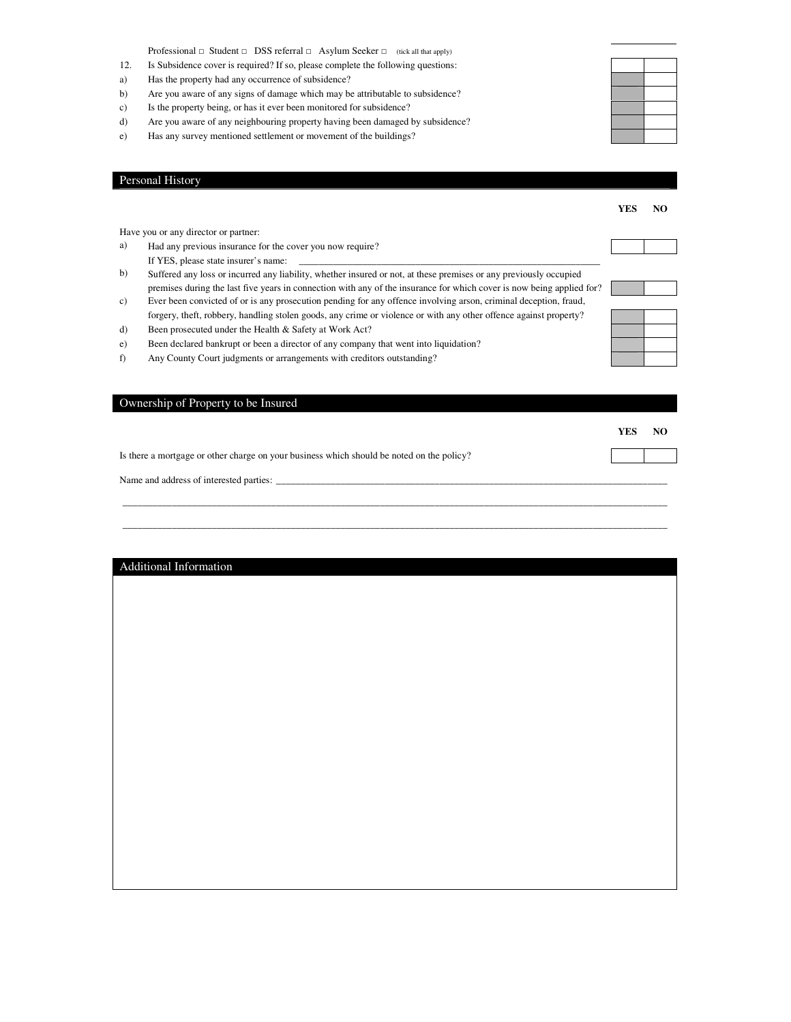Professional  $\Box$  Student  $\Box$  DSS referral  $\Box$  Asylum Seeker  $\Box$  (tick all that apply)

- 12. Is Subsidence cover is required? If so, please complete the following questions:
- a) Has the property had any occurrence of subsidence?

Personal History

- b) Are you aware of any signs of damage which may be attributable to subsidence?
- c) Is the property being, or has it ever been monitored for subsidence?
- d) Are you aware of any neighbouring property having been damaged by subsidence?
- e) Has any survey mentioned settlement or movement of the buildings?

|     |                                                                                                                       | <b>YES</b> | NO. |
|-----|-----------------------------------------------------------------------------------------------------------------------|------------|-----|
|     | Have you or any director or partner:                                                                                  |            |     |
| a)  | Had any previous insurance for the cover you now require?                                                             |            |     |
|     | If YES, please state insurer's name:                                                                                  |            |     |
| b)  | Suffered any loss or incurred any liability, whether insured or not, at these premises or any previously occupied     |            |     |
|     | premises during the last five years in connection with any of the insurance for which cover is now being applied for? |            |     |
| c)  | Ever been convicted of or is any prosecution pending for any offence involving arson, criminal deception, fraud,      |            |     |
|     | forgery, theft, robbery, handling stolen goods, any crime or violence or with any other offence against property?     |            |     |
| d)  | Been prosecuted under the Health & Safety at Work Act?                                                                |            |     |
| e). | Been declared bankrupt or been a director of any company that went into liquidation?                                  |            |     |
| f)  | Any County Court judgments or arrangements with creditors outstanding?                                                |            |     |
|     |                                                                                                                       |            |     |
|     | Ownership of Property to be Insured                                                                                   |            |     |
|     |                                                                                                                       | <b>YES</b> | NO. |
|     | Is there a mortgage or other charge on your business which should be noted on the policy?                             |            |     |
|     | Name and address of interested parties:                                                                               |            |     |

\_\_\_\_\_\_\_\_\_\_\_\_\_\_\_\_\_\_\_\_\_\_\_\_\_\_\_\_\_\_\_\_\_\_\_\_\_\_\_\_\_\_\_\_\_\_\_\_\_\_\_\_\_\_\_\_\_\_\_\_\_\_\_\_\_\_\_\_\_\_\_\_\_\_\_\_\_\_\_\_\_\_\_\_\_\_\_\_\_\_\_\_\_\_\_\_\_\_\_\_\_\_\_\_\_\_\_\_\_\_ \_\_\_\_\_\_\_\_\_\_\_\_\_\_\_\_\_\_\_\_\_\_\_\_\_\_\_\_\_\_\_\_\_\_\_\_\_\_\_\_\_\_\_\_\_\_\_\_\_\_\_\_\_\_\_\_\_\_\_\_\_\_\_\_\_\_\_\_\_\_\_\_\_\_\_\_\_\_\_\_\_\_\_\_\_\_\_\_\_\_\_\_\_\_\_\_\_\_\_\_\_\_\_\_\_\_\_\_\_\_

| Additional Information |  |  |
|------------------------|--|--|
|                        |  |  |
|                        |  |  |
|                        |  |  |
|                        |  |  |
|                        |  |  |
|                        |  |  |
|                        |  |  |
|                        |  |  |
|                        |  |  |
|                        |  |  |
|                        |  |  |